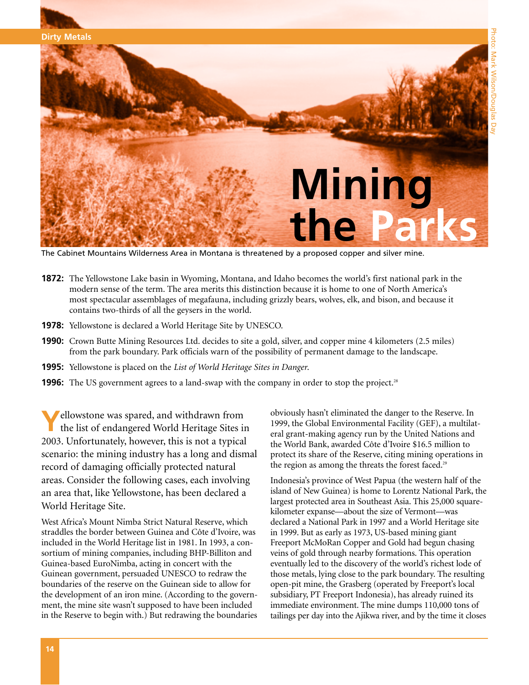

The Cabinet Mountains Wilderness Area in Montana is threatened by a proposed copper and silver mine.

- **1872:** The Yellowstone Lake basin in Wyoming, Montana, and Idaho becomes the world's first national park in the modern sense of the term. The area merits this distinction because it is home to one of North America's most spectacular assemblages of megafauna, including grizzly bears, wolves, elk, and bison, and because it contains two-thirds of all the geysers in the world.
- **1978:** Yellowstone is declared a World Heritage Site by UNESCO.
- **1990:** Crown Butte Mining Resources Ltd. decides to site a gold, silver, and copper mine 4 kilometers (2.5 miles) from the park boundary. Park officials warn of the possibility of permanent damage to the landscape.
- **1995:** Yellowstone is placed on the *List of World Heritage Sites in Danger*.
- **1996:** The US government agrees to a land-swap with the company in order to stop the project.<sup>28</sup>

**Y**ellowstone was spared, and withdrawn from the list of endangered World Heritage Sites in 2003. Unfortunately, however, this is not a typical scenario: the mining industry has a long and dismal record of damaging officially protected natural areas. Consider the following cases, each involving an area that, like Yellowstone, has been declared a World Heritage Site.

West Africa's Mount Nimba Strict Natural Reserve, which straddles the border between Guinea and Côte d'Ivoire, was included in the World Heritage list in 1981. In 1993, a consortium of mining companies, including BHP-Billiton and Guinea-based EuroNimba, acting in concert with the Guinean government, persuaded UNESCO to redraw the boundaries of the reserve on the Guinean side to allow for the development of an iron mine. (According to the government, the mine site wasn't supposed to have been included in the Reserve to begin with.) But redrawing the boundaries

obviously hasn't eliminated the danger to the Reserve. In 1999, the Global Environmental Facility (GEF), a multilateral grant-making agency run by the United Nations and the World Bank, awarded Côte d'Ivoire \$16.5 million to protect its share of the Reserve, citing mining operations in the region as among the threats the forest faced.<sup>29</sup>

Indonesia's province of West Papua (the western half of the island of New Guinea) is home to Lorentz National Park, the largest protected area in Southeast Asia. This 25,000 squarekilometer expanse—about the size of Vermont—was declared a National Park in 1997 and a World Heritage site in 1999. But as early as 1973, US-based mining giant Freeport McMoRan Copper and Gold had begun chasing veins of gold through nearby formations. This operation eventually led to the discovery of the world's richest lode of those metals, lying close to the park boundary. The resulting open-pit mine, the Grasberg (operated by Freeport's local subsidiary, PT Freeport Indonesia), has already ruined its immediate environment. The mine dumps 110,000 tons of tailings per day into the Ajikwa river, and by the time it closes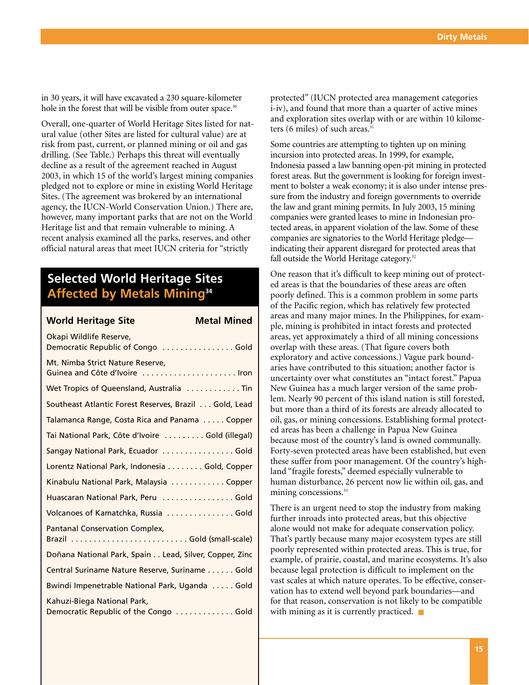in 30 years, it will have excavated a 230 square-kilometer hole in the forest that will be visible from outer space.<sup>30</sup>

Overall, one-quarter of World Heritage Sites listed for natural value (other Sites are listed for cultural value) are at risk from past, current, or planned mining or oil and gas drilling. (See Table.) Perhaps this threat will eventually decline as a result of the agreement reached in August 2003, in which 15 of the world's largest mining companies pledged not to explore or mine in existing World Heritage Sites. (The agreement was brokered by an international agency, the IUCN-World Conservation Union.) There are, however, many important parks that are not on the World Heritage list and that remain vulnerable to mining. A recent analysis examined all the parks, reserves, and other official natural areas that meet IUCN criteria for "strictly

### **Selected World Heritage Sites Affected by Metals Mining34**

| <b>Metal Mined</b><br><b>World Heritage Site</b>                     |
|----------------------------------------------------------------------|
| Okapi Wildlife Reserve,<br>Democratic Republic of Congo Gold         |
| Mt. Nimba Strict Nature Reserve,<br>Guinea and Côte d'Ivoire  Iron   |
| Wet Tropics of Queensland, Australia  Tin                            |
| Southeast Atlantic Forest Reserves, Brazil Gold, Lead                |
| Talamanca Range, Costa Rica and Panama  Copper                       |
| Tai National Park, Côte d'Ivoire Gold (illegal)                      |
| Sangay National Park, Ecuador Gold                                   |
| Lorentz National Park, Indonesia Gold, Copper                        |
| Kinabulu National Park, Malaysia Copper                              |
| Huascaran National Park, Peru  Gold                                  |
| Volcanoes of Kamatchka, Russia  Gold                                 |
| <b>Pantanal Conservation Complex,</b>                                |
| Doñana National Park, Spain Lead, Silver, Copper, Zinc               |
| Central Suriname Nature Reserve, Suriname Gold                       |
| Bwindi Impenetrable National Park, Uganda Gold                       |
| Kahuzi-Biega National Park,<br>Democratic Republic of the Congo Gold |

protected" (IUCN protected area management categories i-iv), and found that more than a quarter of active mines and exploration sites overlap with or are within 10 kilometers (6 miles) of such areas.<sup>31</sup>

Some countries are attempting to tighten up on mining incursion into protected areas. In 1999, for example, Indonesia passed a law banning open-pit mining in protected forest areas. But the government is looking for foreign investment to bolster a weak economy; it is also under intense pressure from the industry and foreign governments to override the law and grant mining permits. In July 2003, 15 mining companies were granted leases to mine in Indonesian protected areas, in apparent violation of the law. Some of these companies are signatories to the World Heritage pledge indicating their apparent disregard for protected areas that fall outside the World Heritage category.<sup>32</sup>

One reason that it's difficult to keep mining out of protected areas is that the boundaries of these areas are often poorly defined. This is a common problem in some parts of the Pacific region, which has relatively few protected areas and many major mines. In the Philippines, for example, mining is prohibited in intact forests and protected areas, yet approximately a third of all mining concessions overlap with these areas. (That figure covers both exploratory and active concessions.) Vague park boundaries have contributed to this situation; another factor is uncertainty over what constitutes an "intact forest." Papua New Guinea has a much larger version of the same problem. Nearly 90 percent of this island nation is still forested, but more than a third of its forests are already allocated to oil, gas, or mining concessions. Establishing formal protected areas has been a challenge in Papua New Guinea because most of the country's land is owned communally. Forty-seven protected areas have been established, but even these suffer from poor management. Of the country's highland "fragile forests," deemed especially vulnerable to human disturbance, 26 percent now lie within oil, gas, and mining concessions.<sup>33</sup>

There is an urgent need to stop the industry from making further inroads into protected areas, but this objective alone would not make for adequate conservation policy. That's partly because many major ecosystem types are still poorly represented within protected areas. This is true, for example, of prairie, coastal, and marine ecosystems. It's also because legal protection is difficult to implement on the vast scales at which nature operates. To be effective, conservation has to extend well beyond park boundaries—and for that reason, conservation is not likely to be compatible with mining as it is currently practiced. ■